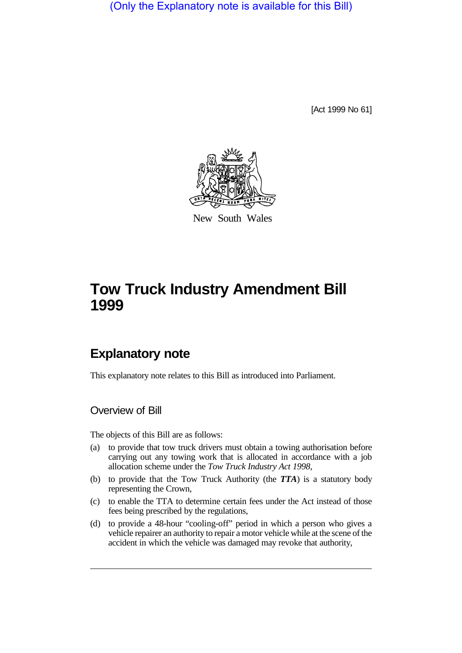(Only the Explanatory note is available for this Bill)

[Act 1999 No 61]



New South Wales

# **Tow Truck Industry Amendment Bill 1999**

## **Explanatory note**

This explanatory note relates to this Bill as introduced into Parliament.

Overview of Bill

The objects of this Bill are as follows:

- (a) to provide that tow truck drivers must obtain a towing authorisation before carrying out any towing work that is allocated in accordance with a job allocation scheme under the *Tow Truck Industry Act 1998*,
- (b) to provide that the Tow Truck Authority (the *TTA*) is a statutory body representing the Crown,
- (c) to enable the TTA to determine certain fees under the Act instead of those fees being prescribed by the regulations,
- (d) to provide a 48-hour "cooling-off" period in which a person who gives a vehicle repairer an authority to repair a motor vehicle while at the scene of the accident in which the vehicle was damaged may revoke that authority,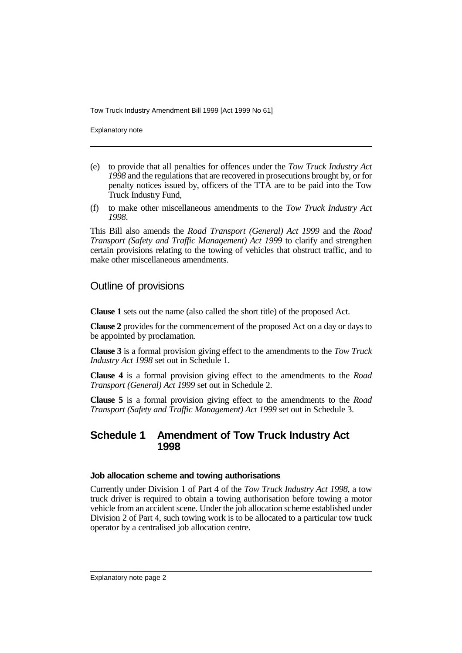Explanatory note

- (e) to provide that all penalties for offences under the *Tow Truck Industry Act 1998* and the regulations that are recovered in prosecutions brought by, or for penalty notices issued by, officers of the TTA are to be paid into the Tow Truck Industry Fund,
- (f) to make other miscellaneous amendments to the *Tow Truck Industry Act 1998*.

This Bill also amends the *Road Transport (General) Act 1999* and the *Road Transport (Safety and Traffic Management) Act 1999* to clarify and strengthen certain provisions relating to the towing of vehicles that obstruct traffic, and to make other miscellaneous amendments.

## Outline of provisions

**Clause 1** sets out the name (also called the short title) of the proposed Act.

**Clause 2** provides for the commencement of the proposed Act on a day or days to be appointed by proclamation.

**Clause 3** is a formal provision giving effect to the amendments to the *Tow Truck Industry Act 1998* set out in Schedule 1.

**Clause 4** is a formal provision giving effect to the amendments to the *Road Transport (General) Act 1999* set out in Schedule 2.

**Clause 5** is a formal provision giving effect to the amendments to the *Road Transport (Safety and Traffic Management) Act 1999* set out in Schedule 3.

## **Schedule 1 Amendment of Tow Truck Industry Act 1998**

#### **Job allocation scheme and towing authorisations**

Currently under Division 1 of Part 4 of the *Tow Truck Industry Act 1998*, a tow truck driver is required to obtain a towing authorisation before towing a motor vehicle from an accident scene. Under the job allocation scheme established under Division 2 of Part 4, such towing work is to be allocated to a particular tow truck operator by a centralised job allocation centre.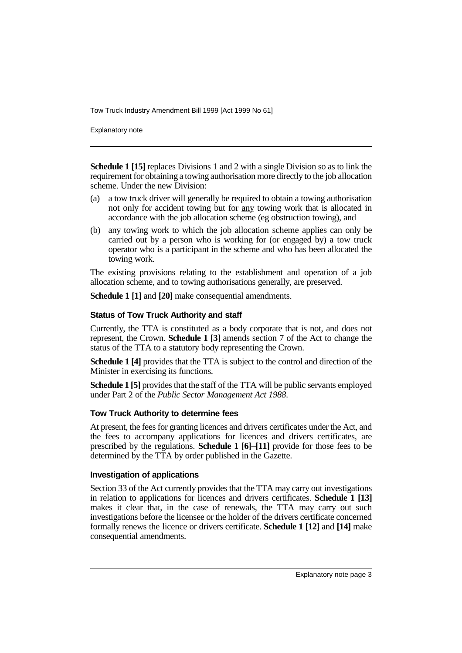Explanatory note

**Schedule 1 [15]** replaces Divisions 1 and 2 with a single Division so as to link the requirement for obtaining a towing authorisation more directly to the job allocation scheme. Under the new Division:

- (a) a tow truck driver will generally be required to obtain a towing authorisation not only for accident towing but for any towing work that is allocated in accordance with the job allocation scheme (eg obstruction towing), and
- (b) any towing work to which the job allocation scheme applies can only be carried out by a person who is working for (or engaged by) a tow truck operator who is a participant in the scheme and who has been allocated the towing work.

The existing provisions relating to the establishment and operation of a job allocation scheme, and to towing authorisations generally, are preserved.

**Schedule 1 [1]** and **[20]** make consequential amendments.

#### **Status of Tow Truck Authority and staff**

Currently, the TTA is constituted as a body corporate that is not, and does not represent, the Crown. **Schedule 1 [3]** amends section 7 of the Act to change the status of the TTA to a statutory body representing the Crown.

**Schedule 1 [4]** provides that the TTA is subject to the control and direction of the Minister in exercising its functions.

**Schedule 1 [5]** provides that the staff of the TTA will be public servants employed under Part 2 of the *Public Sector Management Act 1988*.

#### **Tow Truck Authority to determine fees**

At present, the fees for granting licences and drivers certificates under the Act, and the fees to accompany applications for licences and drivers certificates, are prescribed by the regulations. **Schedule 1 [6]–[11]** provide for those fees to be determined by the TTA by order published in the Gazette.

#### **Investigation of applications**

Section 33 of the Act currently provides that the TTA may carry out investigations in relation to applications for licences and drivers certificates. **Schedule 1 [13]** makes it clear that, in the case of renewals, the TTA may carry out such investigations before the licensee or the holder of the drivers certificate concerned formally renews the licence or drivers certificate. **Schedule 1 [12]** and **[14]** make consequential amendments.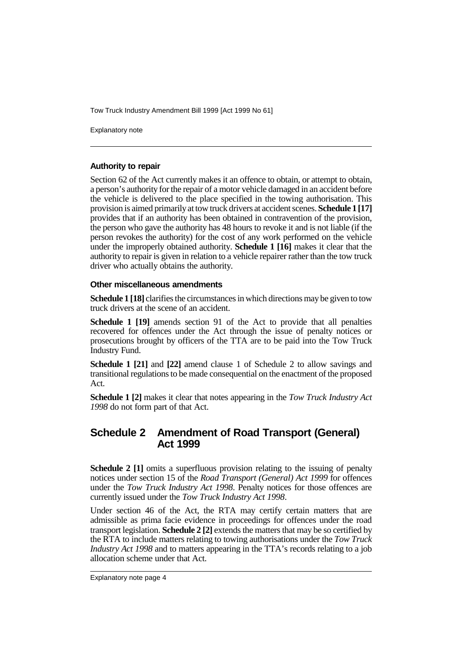Explanatory note

#### **Authority to repair**

Section 62 of the Act currently makes it an offence to obtain, or attempt to obtain, a person's authority for the repair of a motor vehicle damaged in an accident before the vehicle is delivered to the place specified in the towing authorisation. This provision is aimed primarily at tow truck drivers at accident scenes. **Schedule 1 [17]** provides that if an authority has been obtained in contravention of the provision, the person who gave the authority has 48 hours to revoke it and is not liable (if the person revokes the authority) for the cost of any work performed on the vehicle under the improperly obtained authority. **Schedule 1 [16]** makes it clear that the authority to repair is given in relation to a vehicle repairer rather than the tow truck driver who actually obtains the authority.

#### **Other miscellaneous amendments**

**Schedule 1 [18]** clarifies the circumstances in which directions may be given to tow truck drivers at the scene of an accident.

**Schedule 1 [19]** amends section 91 of the Act to provide that all penalties recovered for offences under the Act through the issue of penalty notices or prosecutions brought by officers of the TTA are to be paid into the Tow Truck Industry Fund.

**Schedule 1 [21]** and **[22]** amend clause 1 of Schedule 2 to allow savings and transitional regulations to be made consequential on the enactment of the proposed Act.

**Schedule 1 [2]** makes it clear that notes appearing in the *Tow Truck Industry Act 1998* do not form part of that Act.

## **Schedule 2 Amendment of Road Transport (General) Act 1999**

**Schedule 2 [1]** omits a superfluous provision relating to the issuing of penalty notices under section 15 of the *Road Transport (General) Act 1999* for offences under the *Tow Truck Industry Act 1998*. Penalty notices for those offences are currently issued under the *Tow Truck Industry Act 1998*.

Under section 46 of the Act, the RTA may certify certain matters that are admissible as prima facie evidence in proceedings for offences under the road transport legislation. **Schedule 2 [2]** extends the matters that may be so certified by the RTA to include matters relating to towing authorisations under the *Tow Truck Industry Act 1998* and to matters appearing in the TTA's records relating to a job allocation scheme under that Act.

Explanatory note page 4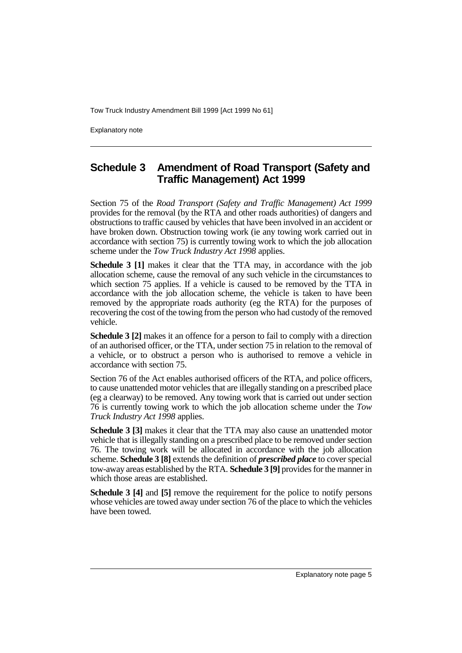Explanatory note

## **Schedule 3 Amendment of Road Transport (Safety and Traffic Management) Act 1999**

Section 75 of the *Road Transport (Safety and Traffic Management) Act 1999* provides for the removal (by the RTA and other roads authorities) of dangers and obstructions to traffic caused by vehicles that have been involved in an accident or have broken down. Obstruction towing work (ie any towing work carried out in accordance with section 75) is currently towing work to which the job allocation scheme under the *Tow Truck Industry Act 1998* applies.

**Schedule 3 [1]** makes it clear that the TTA may, in accordance with the job allocation scheme, cause the removal of any such vehicle in the circumstances to which section 75 applies. If a vehicle is caused to be removed by the TTA in accordance with the job allocation scheme, the vehicle is taken to have been removed by the appropriate roads authority (eg the RTA) for the purposes of recovering the cost of the towing from the person who had custody of the removed vehicle.

**Schedule 3 [2]** makes it an offence for a person to fail to comply with a direction of an authorised officer, or the TTA, under section 75 in relation to the removal of a vehicle, or to obstruct a person who is authorised to remove a vehicle in accordance with section 75.

Section 76 of the Act enables authorised officers of the RTA, and police officers, to cause unattended motor vehicles that are illegally standing on a prescribed place (eg a clearway) to be removed. Any towing work that is carried out under section 76 is currently towing work to which the job allocation scheme under the *Tow Truck Industry Act 1998* applies.

**Schedule 3 [3]** makes it clear that the TTA may also cause an unattended motor vehicle that is illegally standing on a prescribed place to be removed under section 76. The towing work will be allocated in accordance with the job allocation scheme. **Schedule 3 [8]** extends the definition of *prescribed place* to cover special tow-away areas established by the RTA. **Schedule 3 [9]** provides for the manner in which those areas are established.

**Schedule 3 [4]** and **[5]** remove the requirement for the police to notify persons whose vehicles are towed away under section 76 of the place to which the vehicles have been towed.